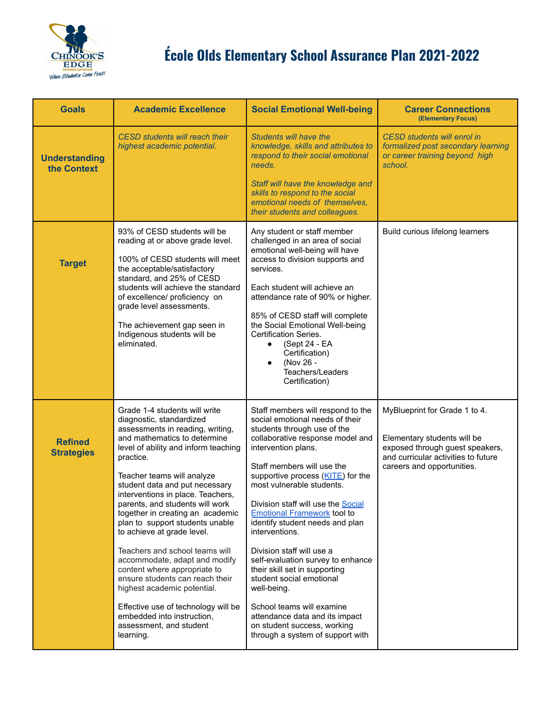

## **École Olds Elementary School Assurance Plan 2021-2022**

| <b>Goals</b>                        | <b>Academic Excellence</b>                                                                                                                                                                                                                                                                                                                                                                                                                                                                                                                                                                                                                                                                                        | <b>Social Emotional Well-being</b>                                                                                                                                                                                                                                                                                                                                                                                                                                                                                                                                                                                                                                              | <b>Career Connections</b><br>(Elementary Focus)                                                                                                                      |
|-------------------------------------|-------------------------------------------------------------------------------------------------------------------------------------------------------------------------------------------------------------------------------------------------------------------------------------------------------------------------------------------------------------------------------------------------------------------------------------------------------------------------------------------------------------------------------------------------------------------------------------------------------------------------------------------------------------------------------------------------------------------|---------------------------------------------------------------------------------------------------------------------------------------------------------------------------------------------------------------------------------------------------------------------------------------------------------------------------------------------------------------------------------------------------------------------------------------------------------------------------------------------------------------------------------------------------------------------------------------------------------------------------------------------------------------------------------|----------------------------------------------------------------------------------------------------------------------------------------------------------------------|
| <b>Understanding</b><br>the Context | <b>CESD</b> students will reach their<br>highest academic potential.                                                                                                                                                                                                                                                                                                                                                                                                                                                                                                                                                                                                                                              | <b>Students will have the</b><br>knowledge, skills and attributes to<br>respond to their social emotional<br>needs.<br>Staff will have the knowledge and<br>skills to respond to the social<br>emotional needs of themselves,<br>their students and colleagues.                                                                                                                                                                                                                                                                                                                                                                                                                 | <b>CESD students will enrol in</b><br>formalized post secondary learning<br>or career training beyond high<br>school.                                                |
| <b>Target</b>                       | 93% of CESD students will be<br>reading at or above grade level.<br>100% of CESD students will meet<br>the acceptable/satisfactory<br>standard, and 25% of CESD<br>students will achieve the standard<br>of excellence/ proficiency on<br>grade level assessments.<br>The achievement gap seen in<br>Indigenous students will be<br>eliminated.                                                                                                                                                                                                                                                                                                                                                                   | Any student or staff member<br>challenged in an area of social<br>emotional well-being will have<br>access to division supports and<br>services.<br>Each student will achieve an<br>attendance rate of 90% or higher.<br>85% of CESD staff will complete<br>the Social Emotional Well-being<br>Certification Series.<br>(Sept 24 - EA<br>$\bullet$<br>Certification)<br>(Nov 26 -<br>$\bullet$<br>Teachers/Leaders<br>Certification)                                                                                                                                                                                                                                            | Build curious lifelong learners                                                                                                                                      |
| <b>Refined</b><br><b>Strategies</b> | Grade 1-4 students will write<br>diagnostic, standardized<br>assessments in reading, writing,<br>and mathematics to determine<br>level of ability and inform teaching<br>practice.<br>Teacher teams will analyze<br>student data and put necessary<br>interventions in place. Teachers,<br>parents, and students will work<br>together in creating an academic<br>plan to support students unable<br>to achieve at grade level.<br>Teachers and school teams will<br>accommodate, adapt and modify<br>content where appropriate to<br>ensure students can reach their<br>highest academic potential.<br>Effective use of technology will be<br>embedded into instruction,<br>assessment, and student<br>learning. | Staff members will respond to the<br>social emotional needs of their<br>students through use of the<br>collaborative response model and<br>intervention plans.<br>Staff members will use the<br>supportive process (KITE) for the<br>most vulnerable students.<br>Division staff will use the Social<br><b>Emotional Framework tool to</b><br>identify student needs and plan<br>interventions.<br>Division staff will use a<br>self-evaluation survey to enhance<br>their skill set in supporting<br>student social emotional<br>well-being.<br>School teams will examine<br>attendance data and its impact<br>on student success, working<br>through a system of support with | MyBlueprint for Grade 1 to 4.<br>Elementary students will be<br>exposed through guest speakers,<br>and curricular activities to future<br>careers and opportunities. |